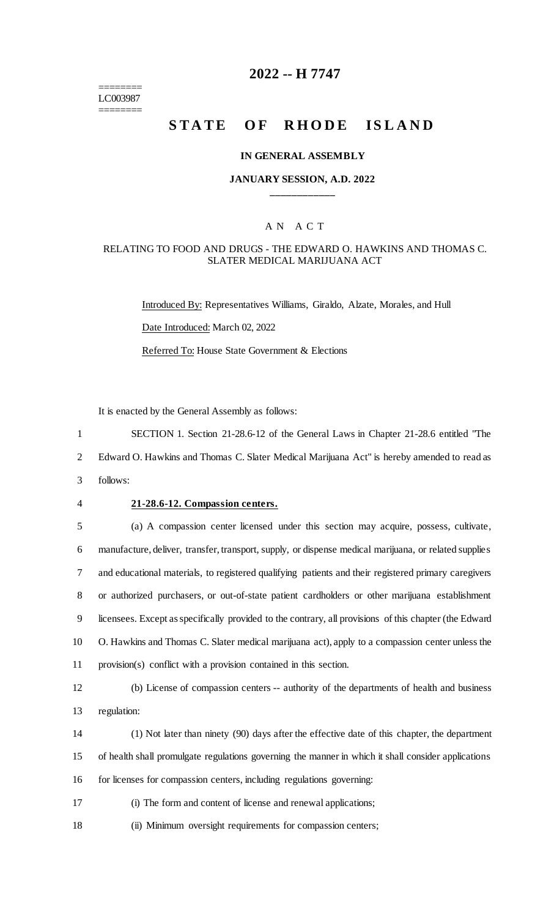======== LC003987 ========

## **2022 -- H 7747**

# **STATE OF RHODE ISLAND**

### **IN GENERAL ASSEMBLY**

### **JANUARY SESSION, A.D. 2022 \_\_\_\_\_\_\_\_\_\_\_\_**

### A N A C T

### RELATING TO FOOD AND DRUGS - THE EDWARD O. HAWKINS AND THOMAS C. SLATER MEDICAL MARIJUANA ACT

Introduced By: Representatives Williams, Giraldo, Alzate, Morales, and Hull Date Introduced: March 02, 2022 Referred To: House State Government & Elections

It is enacted by the General Assembly as follows:

1 SECTION 1. Section 21-28.6-12 of the General Laws in Chapter 21-28.6 entitled "The

2 Edward O. Hawkins and Thomas C. Slater Medical Marijuana Act" is hereby amended to read as

- 3 follows:
- 

### 4 **21-28.6-12. Compassion centers.**

 (a) A compassion center licensed under this section may acquire, possess, cultivate, manufacture, deliver, transfer, transport, supply, or dispense medical marijuana, or related supplies and educational materials, to registered qualifying patients and their registered primary caregivers or authorized purchasers, or out-of-state patient cardholders or other marijuana establishment licensees. Except as specifically provided to the contrary, all provisions of this chapter (the Edward O. Hawkins and Thomas C. Slater medical marijuana act), apply to a compassion center unless the provision(s) conflict with a provision contained in this section.

12 (b) License of compassion centers -- authority of the departments of health and business 13 regulation:

14 (1) Not later than ninety (90) days after the effective date of this chapter, the department 15 of health shall promulgate regulations governing the manner in which it shall consider applications 16 for licenses for compassion centers, including regulations governing:

17 (i) The form and content of license and renewal applications;

18 (ii) Minimum oversight requirements for compassion centers;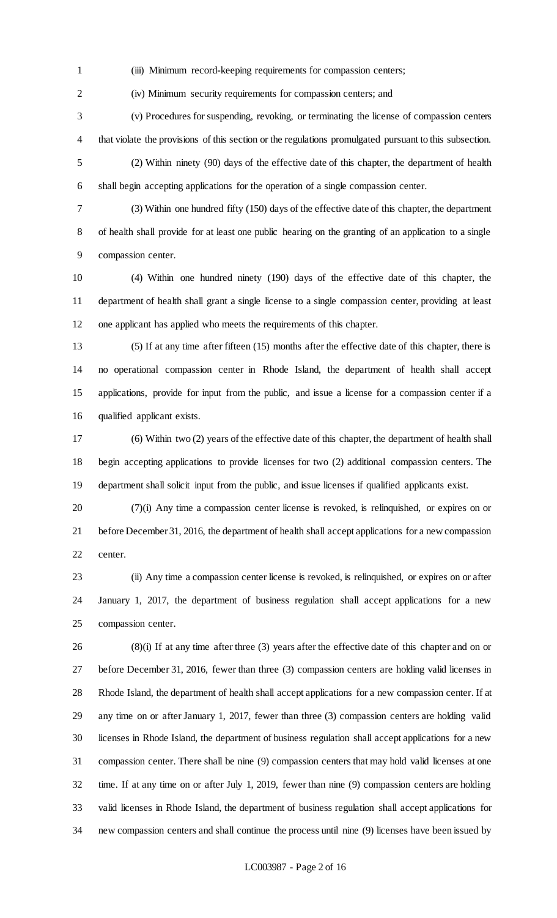(iii) Minimum record-keeping requirements for compassion centers;

(iv) Minimum security requirements for compassion centers; and

 (v) Procedures for suspending, revoking, or terminating the license of compassion centers that violate the provisions of this section or the regulations promulgated pursuant to this subsection.

 (2) Within ninety (90) days of the effective date of this chapter, the department of health shall begin accepting applications for the operation of a single compassion center.

 (3) Within one hundred fifty (150) days of the effective date of this chapter, the department of health shall provide for at least one public hearing on the granting of an application to a single compassion center.

 (4) Within one hundred ninety (190) days of the effective date of this chapter, the department of health shall grant a single license to a single compassion center, providing at least one applicant has applied who meets the requirements of this chapter.

 (5) If at any time after fifteen (15) months after the effective date of this chapter, there is no operational compassion center in Rhode Island, the department of health shall accept applications, provide for input from the public, and issue a license for a compassion center if a qualified applicant exists.

 (6) Within two (2) years of the effective date of this chapter, the department of health shall begin accepting applications to provide licenses for two (2) additional compassion centers. The department shall solicit input from the public, and issue licenses if qualified applicants exist.

 (7)(i) Any time a compassion center license is revoked, is relinquished, or expires on or before December 31, 2016, the department of health shall accept applications for a new compassion center.

 (ii) Any time a compassion center license is revoked, is relinquished, or expires on or after January 1, 2017, the department of business regulation shall accept applications for a new compassion center.

 (8)(i) If at any time after three (3) years after the effective date of this chapter and on or before December 31, 2016, fewer than three (3) compassion centers are holding valid licenses in Rhode Island, the department of health shall accept applications for a new compassion center. If at any time on or after January 1, 2017, fewer than three (3) compassion centers are holding valid licenses in Rhode Island, the department of business regulation shall accept applications for a new compassion center. There shall be nine (9) compassion centers that may hold valid licenses at one time. If at any time on or after July 1, 2019, fewer than nine (9) compassion centers are holding valid licenses in Rhode Island, the department of business regulation shall accept applications for new compassion centers and shall continue the process until nine (9) licenses have been issued by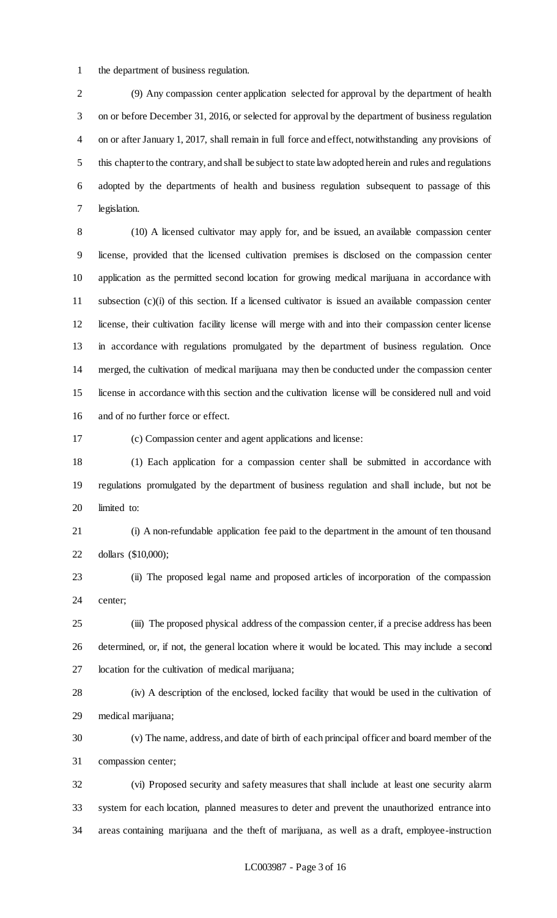the department of business regulation.

 (9) Any compassion center application selected for approval by the department of health on or before December 31, 2016, or selected for approval by the department of business regulation on or after January 1, 2017, shall remain in full force and effect, notwithstanding any provisions of this chapter to the contrary, and shall be subject to state law adopted herein and rules and regulations adopted by the departments of health and business regulation subsequent to passage of this legislation.

 (10) A licensed cultivator may apply for, and be issued, an available compassion center license, provided that the licensed cultivation premises is disclosed on the compassion center application as the permitted second location for growing medical marijuana in accordance with subsection (c)(i) of this section. If a licensed cultivator is issued an available compassion center license, their cultivation facility license will merge with and into their compassion center license in accordance with regulations promulgated by the department of business regulation. Once merged, the cultivation of medical marijuana may then be conducted under the compassion center license in accordance with this section and the cultivation license will be considered null and void and of no further force or effect.

(c) Compassion center and agent applications and license:

 (1) Each application for a compassion center shall be submitted in accordance with regulations promulgated by the department of business regulation and shall include, but not be limited to:

 (i) A non-refundable application fee paid to the department in the amount of ten thousand dollars (\$10,000);

 (ii) The proposed legal name and proposed articles of incorporation of the compassion center;

 (iii) The proposed physical address of the compassion center, if a precise address has been determined, or, if not, the general location where it would be located. This may include a second location for the cultivation of medical marijuana;

 (iv) A description of the enclosed, locked facility that would be used in the cultivation of medical marijuana;

 (v) The name, address, and date of birth of each principal officer and board member of the compassion center;

 (vi) Proposed security and safety measures that shall include at least one security alarm system for each location, planned measures to deter and prevent the unauthorized entrance into areas containing marijuana and the theft of marijuana, as well as a draft, employee-instruction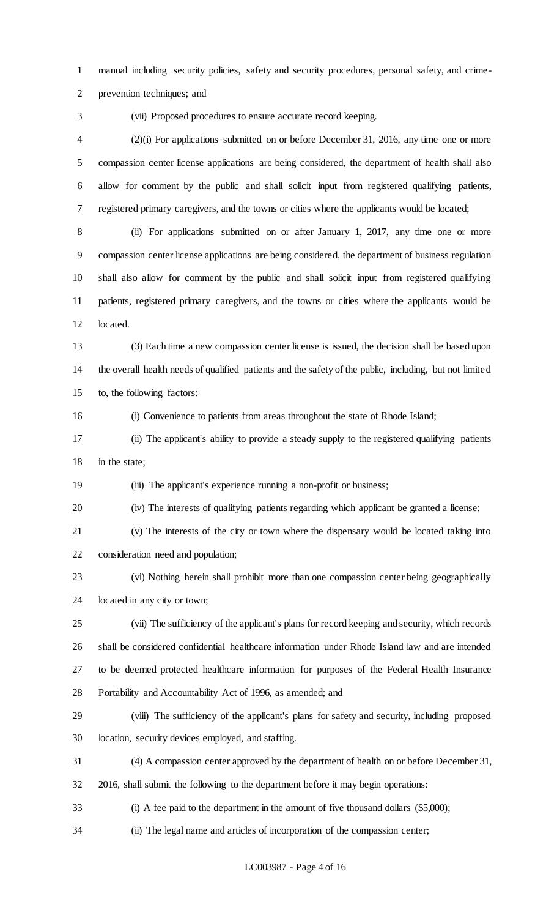manual including security policies, safety and security procedures, personal safety, and crime-

prevention techniques; and

(vii) Proposed procedures to ensure accurate record keeping.

 (2)(i) For applications submitted on or before December 31, 2016, any time one or more compassion center license applications are being considered, the department of health shall also allow for comment by the public and shall solicit input from registered qualifying patients, registered primary caregivers, and the towns or cities where the applicants would be located;

 (ii) For applications submitted on or after January 1, 2017, any time one or more compassion center license applications are being considered, the department of business regulation shall also allow for comment by the public and shall solicit input from registered qualifying patients, registered primary caregivers, and the towns or cities where the applicants would be located.

 (3) Each time a new compassion center license is issued, the decision shall be based upon the overall health needs of qualified patients and the safety of the public, including, but not limited to, the following factors:

(i) Convenience to patients from areas throughout the state of Rhode Island;

 (ii) The applicant's ability to provide a steady supply to the registered qualifying patients in the state;

(iii) The applicant's experience running a non-profit or business;

(iv) The interests of qualifying patients regarding which applicant be granted a license;

 (v) The interests of the city or town where the dispensary would be located taking into consideration need and population;

 (vi) Nothing herein shall prohibit more than one compassion center being geographically located in any city or town;

 (vii) The sufficiency of the applicant's plans for record keeping and security, which records shall be considered confidential healthcare information under Rhode Island law and are intended to be deemed protected healthcare information for purposes of the Federal Health Insurance Portability and Accountability Act of 1996, as amended; and

 (viii) The sufficiency of the applicant's plans for safety and security, including proposed location, security devices employed, and staffing.

(4) A compassion center approved by the department of health on or before December 31,

2016, shall submit the following to the department before it may begin operations:

(i) A fee paid to the department in the amount of five thousand dollars (\$5,000);

(ii) The legal name and articles of incorporation of the compassion center;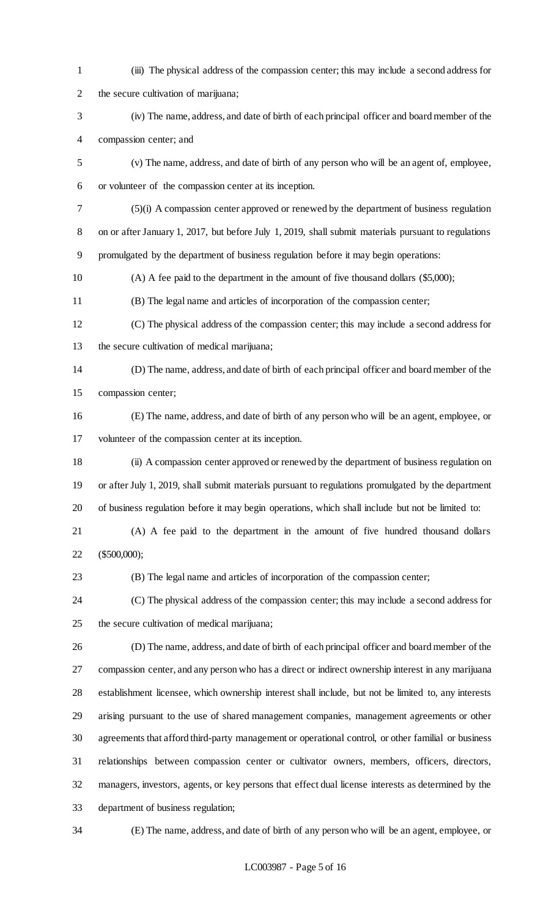(iii) The physical address of the compassion center; this may include a second address for the secure cultivation of marijuana; (iv) The name, address, and date of birth of each principal officer and board member of the compassion center; and (v) The name, address, and date of birth of any person who will be an agent of, employee, or volunteer of the compassion center at its inception. (5)(i) A compassion center approved or renewed by the department of business regulation on or after January 1, 2017, but before July 1, 2019, shall submit materials pursuant to regulations promulgated by the department of business regulation before it may begin operations: (A) A fee paid to the department in the amount of five thousand dollars (\$5,000); (B) The legal name and articles of incorporation of the compassion center; (C) The physical address of the compassion center; this may include a second address for the secure cultivation of medical marijuana; (D) The name, address, and date of birth of each principal officer and board member of the compassion center; (E) The name, address, and date of birth of any person who will be an agent, employee, or volunteer of the compassion center at its inception. (ii) A compassion center approved or renewed by the department of business regulation on or after July 1, 2019, shall submit materials pursuant to regulations promulgated by the department of business regulation before it may begin operations, which shall include but not be limited to: (A) A fee paid to the department in the amount of five hundred thousand dollars (\$500,000); (B) The legal name and articles of incorporation of the compassion center; (C) The physical address of the compassion center; this may include a second address for the secure cultivation of medical marijuana; (D) The name, address, and date of birth of each principal officer and board member of the compassion center, and any person who has a direct or indirect ownership interest in any marijuana establishment licensee, which ownership interest shall include, but not be limited to, any interests arising pursuant to the use of shared management companies, management agreements or other agreements that afford third-party management or operational control, or other familial or business relationships between compassion center or cultivator owners, members, officers, directors, managers, investors, agents, or key persons that effect dual license interests as determined by the department of business regulation; (E) The name, address, and date of birth of any person who will be an agent, employee, or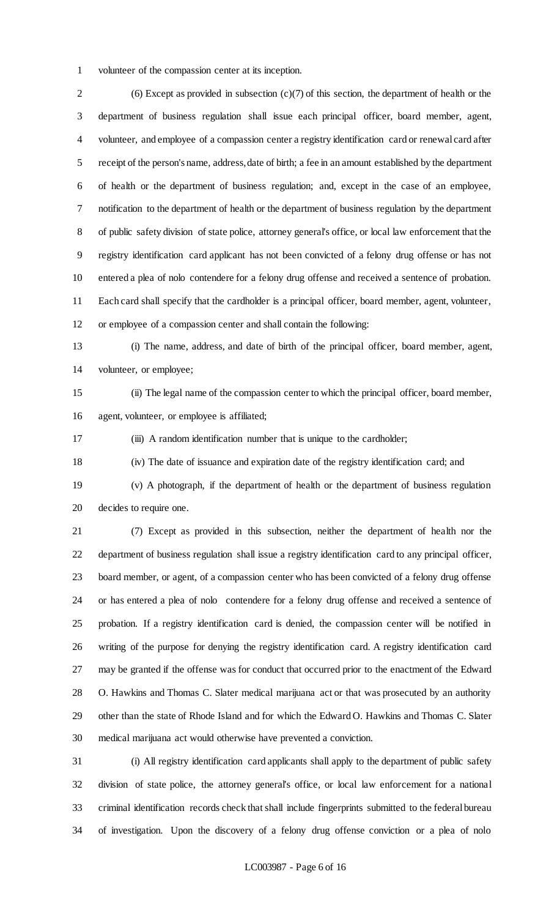volunteer of the compassion center at its inception.

 (6) Except as provided in subsection (c)(7) of this section, the department of health or the department of business regulation shall issue each principal officer, board member, agent, volunteer, and employee of a compassion center a registry identification card or renewal card after receipt of the person's name, address, date of birth; a fee in an amount established by the department of health or the department of business regulation; and, except in the case of an employee, notification to the department of health or the department of business regulation by the department of public safety division of state police, attorney general's office, or local law enforcement that the registry identification card applicant has not been convicted of a felony drug offense or has not entered a plea of nolo contendere for a felony drug offense and received a sentence of probation. Each card shall specify that the cardholder is a principal officer, board member, agent, volunteer, or employee of a compassion center and shall contain the following:

 (i) The name, address, and date of birth of the principal officer, board member, agent, volunteer, or employee;

 (ii) The legal name of the compassion center to which the principal officer, board member, agent, volunteer, or employee is affiliated;

(iii) A random identification number that is unique to the cardholder;

(iv) The date of issuance and expiration date of the registry identification card; and

 (v) A photograph, if the department of health or the department of business regulation decides to require one.

 (7) Except as provided in this subsection, neither the department of health nor the department of business regulation shall issue a registry identification card to any principal officer, board member, or agent, of a compassion center who has been convicted of a felony drug offense or has entered a plea of nolo contendere for a felony drug offense and received a sentence of probation. If a registry identification card is denied, the compassion center will be notified in writing of the purpose for denying the registry identification card. A registry identification card may be granted if the offense was for conduct that occurred prior to the enactment of the Edward O. Hawkins and Thomas C. Slater medical marijuana act or that was prosecuted by an authority other than the state of Rhode Island and for which the Edward O. Hawkins and Thomas C. Slater medical marijuana act would otherwise have prevented a conviction.

 (i) All registry identification card applicants shall apply to the department of public safety division of state police, the attorney general's office, or local law enforcement for a national criminal identification records check that shall include fingerprints submitted to the federal bureau of investigation. Upon the discovery of a felony drug offense conviction or a plea of nolo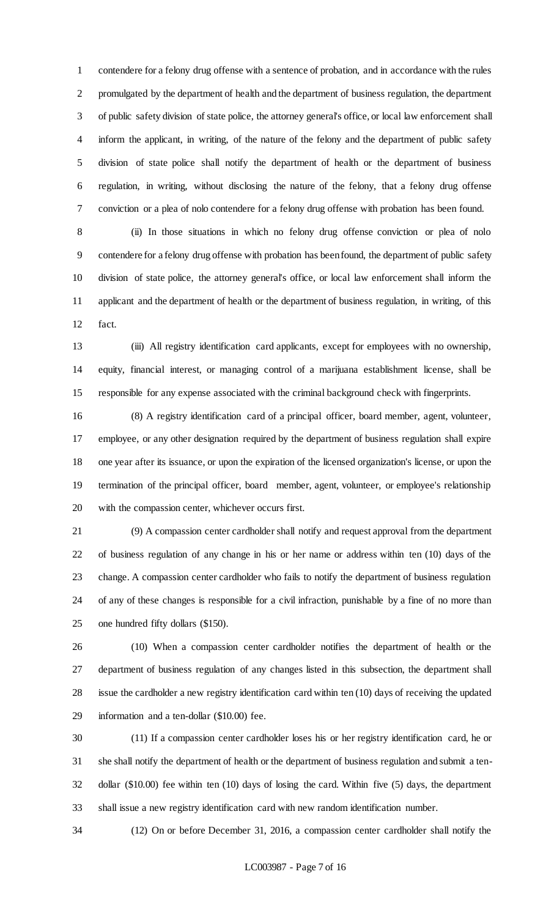contendere for a felony drug offense with a sentence of probation, and in accordance with the rules promulgated by the department of health and the department of business regulation, the department of public safety division of state police, the attorney general's office, or local law enforcement shall inform the applicant, in writing, of the nature of the felony and the department of public safety division of state police shall notify the department of health or the department of business regulation, in writing, without disclosing the nature of the felony, that a felony drug offense conviction or a plea of nolo contendere for a felony drug offense with probation has been found.

 (ii) In those situations in which no felony drug offense conviction or plea of nolo contendere for a felony drug offense with probation has been found, the department of public safety division of state police, the attorney general's office, or local law enforcement shall inform the applicant and the department of health or the department of business regulation, in writing, of this fact.

 (iii) All registry identification card applicants, except for employees with no ownership, equity, financial interest, or managing control of a marijuana establishment license, shall be responsible for any expense associated with the criminal background check with fingerprints.

 (8) A registry identification card of a principal officer, board member, agent, volunteer, employee, or any other designation required by the department of business regulation shall expire one year after its issuance, or upon the expiration of the licensed organization's license, or upon the termination of the principal officer, board member, agent, volunteer, or employee's relationship with the compassion center, whichever occurs first.

 (9) A compassion center cardholder shall notify and request approval from the department of business regulation of any change in his or her name or address within ten (10) days of the change. A compassion center cardholder who fails to notify the department of business regulation of any of these changes is responsible for a civil infraction, punishable by a fine of no more than one hundred fifty dollars (\$150).

 (10) When a compassion center cardholder notifies the department of health or the department of business regulation of any changes listed in this subsection, the department shall issue the cardholder a new registry identification card within ten (10) days of receiving the updated information and a ten-dollar (\$10.00) fee.

 (11) If a compassion center cardholder loses his or her registry identification card, he or she shall notify the department of health or the department of business regulation and submit a ten- dollar (\$10.00) fee within ten (10) days of losing the card. Within five (5) days, the department shall issue a new registry identification card with new random identification number.

(12) On or before December 31, 2016, a compassion center cardholder shall notify the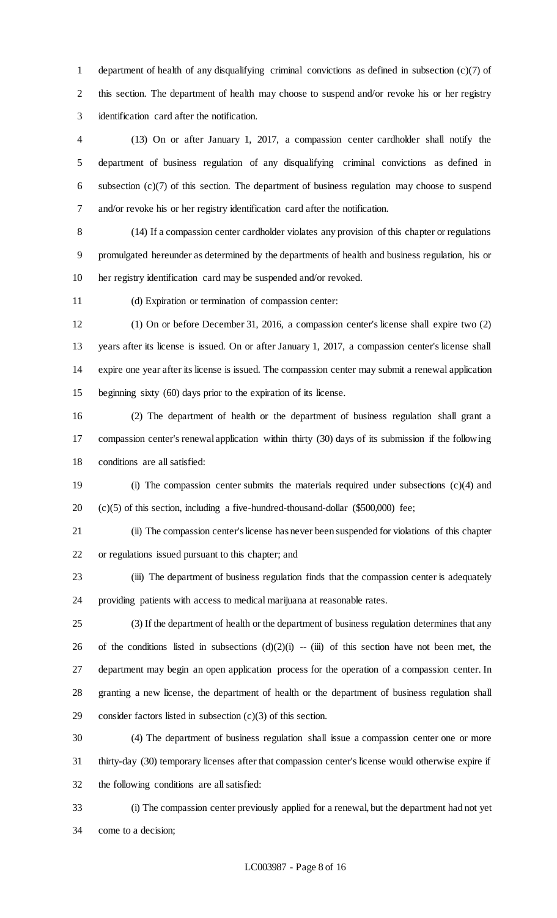department of health of any disqualifying criminal convictions as defined in subsection (c)(7) of this section. The department of health may choose to suspend and/or revoke his or her registry identification card after the notification.

 (13) On or after January 1, 2017, a compassion center cardholder shall notify the department of business regulation of any disqualifying criminal convictions as defined in subsection (c)(7) of this section. The department of business regulation may choose to suspend and/or revoke his or her registry identification card after the notification.

 (14) If a compassion center cardholder violates any provision of this chapter or regulations promulgated hereunder as determined by the departments of health and business regulation, his or her registry identification card may be suspended and/or revoked.

(d) Expiration or termination of compassion center:

 (1) On or before December 31, 2016, a compassion center's license shall expire two (2) years after its license is issued. On or after January 1, 2017, a compassion center's license shall expire one year after its license is issued. The compassion center may submit a renewal application beginning sixty (60) days prior to the expiration of its license.

 (2) The department of health or the department of business regulation shall grant a compassion center's renewal application within thirty (30) days of its submission if the following conditions are all satisfied:

 (i) The compassion center submits the materials required under subsections (c)(4) and (c)(5) of this section, including a five-hundred-thousand-dollar (\$500,000) fee;

 (ii) The compassion center's license has never been suspended for violations of this chapter or regulations issued pursuant to this chapter; and

 (iii) The department of business regulation finds that the compassion center is adequately providing patients with access to medical marijuana at reasonable rates.

 (3) If the department of health or the department of business regulation determines that any 26 of the conditions listed in subsections  $(d)(2)(i) - (iii)$  of this section have not been met, the department may begin an open application process for the operation of a compassion center. In granting a new license, the department of health or the department of business regulation shall consider factors listed in subsection (c)(3) of this section.

 (4) The department of business regulation shall issue a compassion center one or more thirty-day (30) temporary licenses after that compassion center's license would otherwise expire if the following conditions are all satisfied:

 (i) The compassion center previously applied for a renewal, but the department had not yet come to a decision;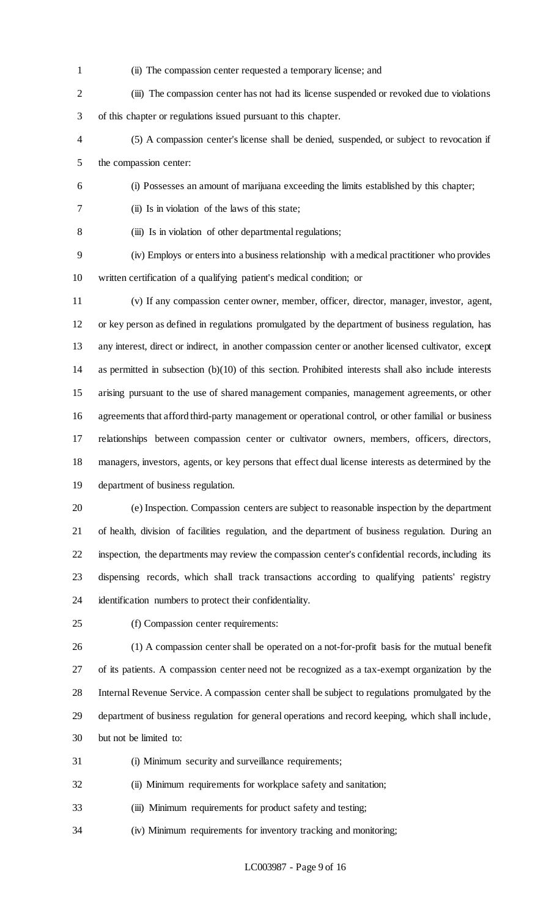- (ii) The compassion center requested a temporary license; and
- (iii) The compassion center has not had its license suspended or revoked due to violations of this chapter or regulations issued pursuant to this chapter.
- (5) A compassion center's license shall be denied, suspended, or subject to revocation if the compassion center:
- (i) Possesses an amount of marijuana exceeding the limits established by this chapter;
- (ii) Is in violation of the laws of this state;
- 

(iii) Is in violation of other departmental regulations;

 (iv) Employs or enters into a business relationship with a medical practitioner who provides written certification of a qualifying patient's medical condition; or

- (v) If any compassion center owner, member, officer, director, manager, investor, agent, or key person as defined in regulations promulgated by the department of business regulation, has any interest, direct or indirect, in another compassion center or another licensed cultivator, except as permitted in subsection (b)(10) of this section. Prohibited interests shall also include interests arising pursuant to the use of shared management companies, management agreements, or other agreements that afford third-party management or operational control, or other familial or business relationships between compassion center or cultivator owners, members, officers, directors, managers, investors, agents, or key persons that effect dual license interests as determined by the department of business regulation.
- (e) Inspection. Compassion centers are subject to reasonable inspection by the department of health, division of facilities regulation, and the department of business regulation. During an inspection, the departments may review the compassion center's confidential records, including its dispensing records, which shall track transactions according to qualifying patients' registry identification numbers to protect their confidentiality.
- 

(f) Compassion center requirements:

 (1) A compassion center shall be operated on a not-for-profit basis for the mutual benefit of its patients. A compassion center need not be recognized as a tax-exempt organization by the Internal Revenue Service. A compassion center shall be subject to regulations promulgated by the department of business regulation for general operations and record keeping, which shall include, but not be limited to:

- (i) Minimum security and surveillance requirements;
- (ii) Minimum requirements for workplace safety and sanitation;

(iii) Minimum requirements for product safety and testing;

(iv) Minimum requirements for inventory tracking and monitoring;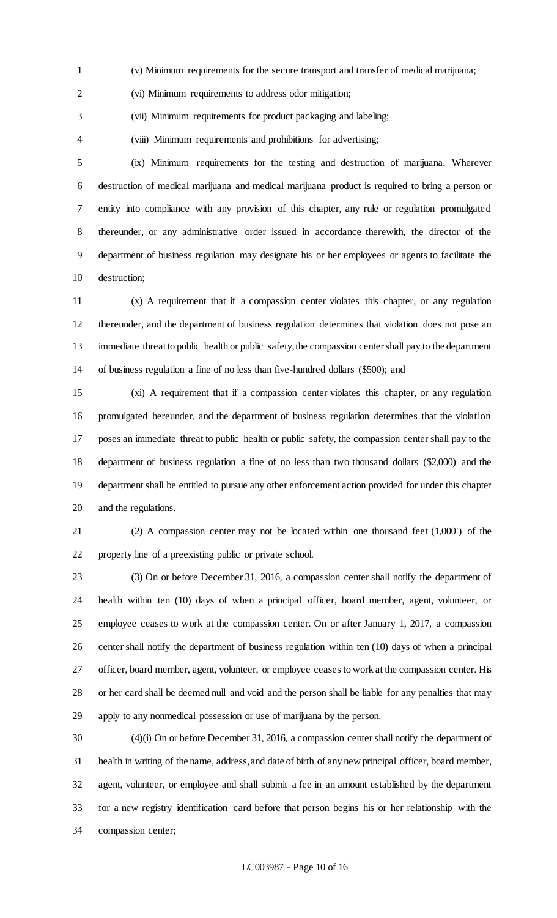(v) Minimum requirements for the secure transport and transfer of medical marijuana;

(vi) Minimum requirements to address odor mitigation;

(vii) Minimum requirements for product packaging and labeling;

(viii) Minimum requirements and prohibitions for advertising;

 (ix) Minimum requirements for the testing and destruction of marijuana. Wherever destruction of medical marijuana and medical marijuana product is required to bring a person or entity into compliance with any provision of this chapter, any rule or regulation promulgated thereunder, or any administrative order issued in accordance therewith, the director of the department of business regulation may designate his or her employees or agents to facilitate the destruction;

 (x) A requirement that if a compassion center violates this chapter, or any regulation thereunder, and the department of business regulation determines that violation does not pose an immediate threat to public health or public safety, the compassion center shall pay to the department of business regulation a fine of no less than five-hundred dollars (\$500); and

 (xi) A requirement that if a compassion center violates this chapter, or any regulation promulgated hereunder, and the department of business regulation determines that the violation poses an immediate threat to public health or public safety, the compassion center shall pay to the department of business regulation a fine of no less than two thousand dollars (\$2,000) and the department shall be entitled to pursue any other enforcement action provided for under this chapter and the regulations.

 (2) A compassion center may not be located within one thousand feet (1,000') of the property line of a preexisting public or private school.

 (3) On or before December 31, 2016, a compassion center shall notify the department of health within ten (10) days of when a principal officer, board member, agent, volunteer, or employee ceases to work at the compassion center. On or after January 1, 2017, a compassion center shall notify the department of business regulation within ten (10) days of when a principal officer, board member, agent, volunteer, or employee ceases to work at the compassion center. His or her card shall be deemed null and void and the person shall be liable for any penalties that may apply to any nonmedical possession or use of marijuana by the person.

 (4)(i) On or before December 31, 2016, a compassion center shall notify the department of health in writing of the name, address, and date of birth of any new principal officer, board member, agent, volunteer, or employee and shall submit a fee in an amount established by the department for a new registry identification card before that person begins his or her relationship with the compassion center;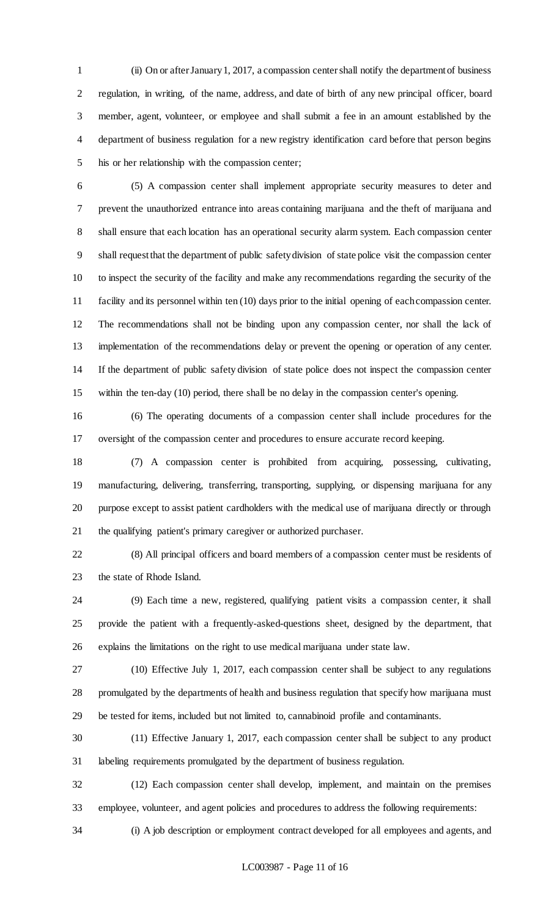(ii) On or after January 1, 2017, a compassion center shall notify the department of business regulation, in writing, of the name, address, and date of birth of any new principal officer, board member, agent, volunteer, or employee and shall submit a fee in an amount established by the department of business regulation for a new registry identification card before that person begins his or her relationship with the compassion center;

 (5) A compassion center shall implement appropriate security measures to deter and prevent the unauthorized entrance into areas containing marijuana and the theft of marijuana and shall ensure that each location has an operational security alarm system. Each compassion center shall request that the department of public safety division of state police visit the compassion center to inspect the security of the facility and make any recommendations regarding the security of the facility and its personnel within ten (10) days prior to the initial opening of each compassion center. The recommendations shall not be binding upon any compassion center, nor shall the lack of implementation of the recommendations delay or prevent the opening or operation of any center. If the department of public safety division of state police does not inspect the compassion center within the ten-day (10) period, there shall be no delay in the compassion center's opening.

 (6) The operating documents of a compassion center shall include procedures for the oversight of the compassion center and procedures to ensure accurate record keeping.

 (7) A compassion center is prohibited from acquiring, possessing, cultivating, manufacturing, delivering, transferring, transporting, supplying, or dispensing marijuana for any purpose except to assist patient cardholders with the medical use of marijuana directly or through the qualifying patient's primary caregiver or authorized purchaser.

 (8) All principal officers and board members of a compassion center must be residents of the state of Rhode Island.

 (9) Each time a new, registered, qualifying patient visits a compassion center, it shall provide the patient with a frequently-asked-questions sheet, designed by the department, that explains the limitations on the right to use medical marijuana under state law.

 (10) Effective July 1, 2017, each compassion center shall be subject to any regulations promulgated by the departments of health and business regulation that specify how marijuana must be tested for items, included but not limited to, cannabinoid profile and contaminants.

 (11) Effective January 1, 2017, each compassion center shall be subject to any product labeling requirements promulgated by the department of business regulation.

 (12) Each compassion center shall develop, implement, and maintain on the premises employee, volunteer, and agent policies and procedures to address the following requirements:

(i) A job description or employment contract developed for all employees and agents, and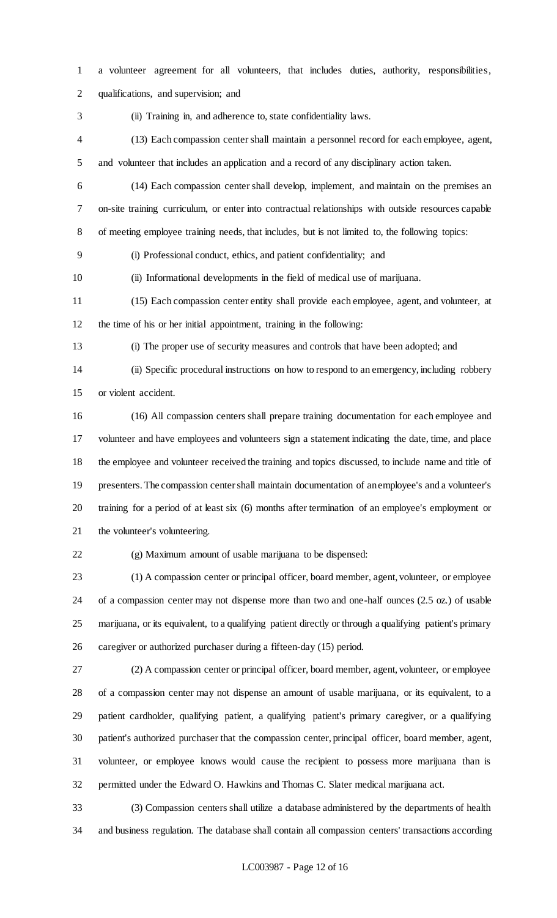- a volunteer agreement for all volunteers, that includes duties, authority, responsibilities,
- qualifications, and supervision; and
- 

(ii) Training in, and adherence to, state confidentiality laws.

- (13) Each compassion center shall maintain a personnel record for each employee, agent, and volunteer that includes an application and a record of any disciplinary action taken.
- (14) Each compassion center shall develop, implement, and maintain on the premises an on-site training curriculum, or enter into contractual relationships with outside resources capable of meeting employee training needs, that includes, but is not limited to, the following topics:
- (i) Professional conduct, ethics, and patient confidentiality; and
- (ii) Informational developments in the field of medical use of marijuana.
- (15) Each compassion center entity shall provide each employee, agent, and volunteer, at the time of his or her initial appointment, training in the following:
- 

(i) The proper use of security measures and controls that have been adopted; and

 (ii) Specific procedural instructions on how to respond to an emergency, including robbery or violent accident.

 (16) All compassion centers shall prepare training documentation for each employee and volunteer and have employees and volunteers sign a statement indicating the date, time, and place the employee and volunteer received the training and topics discussed, to include name and title of presenters. The compassion center shall maintain documentation of an employee's and a volunteer's training for a period of at least six (6) months after termination of an employee's employment or the volunteer's volunteering.

(g) Maximum amount of usable marijuana to be dispensed:

 (1) A compassion center or principal officer, board member, agent, volunteer, or employee of a compassion center may not dispense more than two and one-half ounces (2.5 oz.) of usable marijuana, or its equivalent, to a qualifying patient directly or through a qualifying patient's primary caregiver or authorized purchaser during a fifteen-day (15) period.

 (2) A compassion center or principal officer, board member, agent, volunteer, or employee of a compassion center may not dispense an amount of usable marijuana, or its equivalent, to a patient cardholder, qualifying patient, a qualifying patient's primary caregiver, or a qualifying patient's authorized purchaser that the compassion center, principal officer, board member, agent, volunteer, or employee knows would cause the recipient to possess more marijuana than is permitted under the Edward O. Hawkins and Thomas C. Slater medical marijuana act.

 (3) Compassion centers shall utilize a database administered by the departments of health and business regulation. The database shall contain all compassion centers' transactions according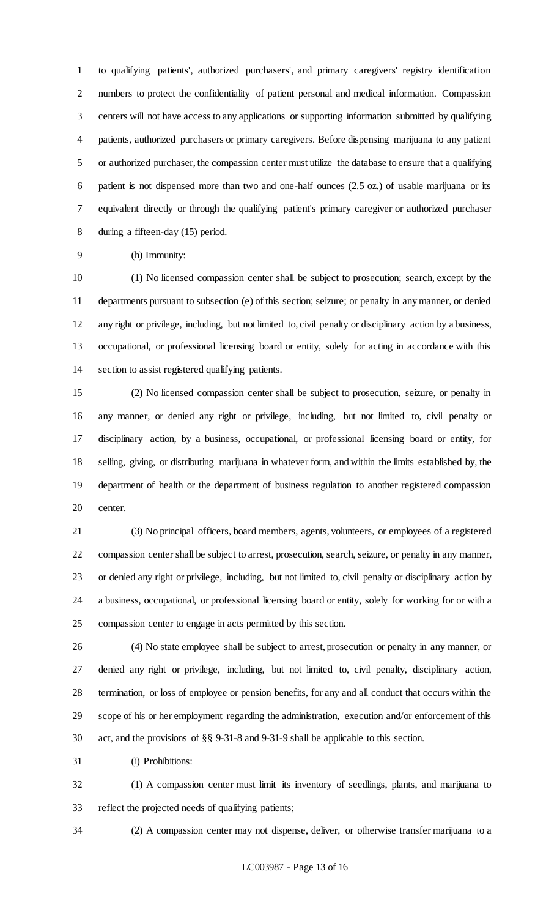to qualifying patients', authorized purchasers', and primary caregivers' registry identification numbers to protect the confidentiality of patient personal and medical information. Compassion centers will not have access to any applications or supporting information submitted by qualifying patients, authorized purchasers or primary caregivers. Before dispensing marijuana to any patient or authorized purchaser, the compassion center must utilize the database to ensure that a qualifying patient is not dispensed more than two and one-half ounces (2.5 oz.) of usable marijuana or its equivalent directly or through the qualifying patient's primary caregiver or authorized purchaser during a fifteen-day (15) period.

(h) Immunity:

 (1) No licensed compassion center shall be subject to prosecution; search, except by the departments pursuant to subsection (e) of this section; seizure; or penalty in any manner, or denied any right or privilege, including, but not limited to, civil penalty or disciplinary action by a business, occupational, or professional licensing board or entity, solely for acting in accordance with this section to assist registered qualifying patients.

 (2) No licensed compassion center shall be subject to prosecution, seizure, or penalty in any manner, or denied any right or privilege, including, but not limited to, civil penalty or disciplinary action, by a business, occupational, or professional licensing board or entity, for selling, giving, or distributing marijuana in whatever form, and within the limits established by, the department of health or the department of business regulation to another registered compassion center.

 (3) No principal officers, board members, agents, volunteers, or employees of a registered compassion center shall be subject to arrest, prosecution, search, seizure, or penalty in any manner, or denied any right or privilege, including, but not limited to, civil penalty or disciplinary action by a business, occupational, or professional licensing board or entity, solely for working for or with a compassion center to engage in acts permitted by this section.

 (4) No state employee shall be subject to arrest, prosecution or penalty in any manner, or denied any right or privilege, including, but not limited to, civil penalty, disciplinary action, termination, or loss of employee or pension benefits, for any and all conduct that occurs within the scope of his or her employment regarding the administration, execution and/or enforcement of this act, and the provisions of §§ 9-31-8 and 9-31-9 shall be applicable to this section.

(i) Prohibitions:

 (1) A compassion center must limit its inventory of seedlings, plants, and marijuana to reflect the projected needs of qualifying patients;

(2) A compassion center may not dispense, deliver, or otherwise transfer marijuana to a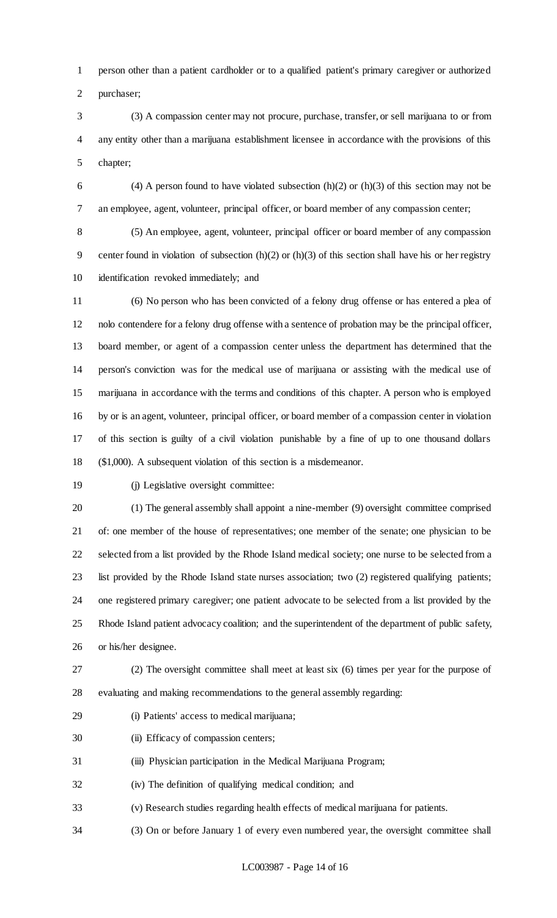person other than a patient cardholder or to a qualified patient's primary caregiver or authorized purchaser;

 (3) A compassion center may not procure, purchase, transfer, or sell marijuana to or from any entity other than a marijuana establishment licensee in accordance with the provisions of this chapter;

6 (4) A person found to have violated subsection  $(h)(2)$  or  $(h)(3)$  of this section may not be an employee, agent, volunteer, principal officer, or board member of any compassion center;

 (5) An employee, agent, volunteer, principal officer or board member of any compassion center found in violation of subsection (h)(2) or (h)(3) of this section shall have his or her registry identification revoked immediately; and

 (6) No person who has been convicted of a felony drug offense or has entered a plea of nolo contendere for a felony drug offense with a sentence of probation may be the principal officer, board member, or agent of a compassion center unless the department has determined that the person's conviction was for the medical use of marijuana or assisting with the medical use of marijuana in accordance with the terms and conditions of this chapter. A person who is employed by or is an agent, volunteer, principal officer, or board member of a compassion center in violation of this section is guilty of a civil violation punishable by a fine of up to one thousand dollars (\$1,000). A subsequent violation of this section is a misdemeanor.

(j) Legislative oversight committee:

 (1) The general assembly shall appoint a nine-member (9) oversight committee comprised of: one member of the house of representatives; one member of the senate; one physician to be selected from a list provided by the Rhode Island medical society; one nurse to be selected from a list provided by the Rhode Island state nurses association; two (2) registered qualifying patients; one registered primary caregiver; one patient advocate to be selected from a list provided by the Rhode Island patient advocacy coalition; and the superintendent of the department of public safety, or his/her designee.

 (2) The oversight committee shall meet at least six (6) times per year for the purpose of evaluating and making recommendations to the general assembly regarding:

- (i) Patients' access to medical marijuana;
- (ii) Efficacy of compassion centers;

(iii) Physician participation in the Medical Marijuana Program;

(iv) The definition of qualifying medical condition; and

(v) Research studies regarding health effects of medical marijuana for patients.

(3) On or before January 1 of every even numbered year, the oversight committee shall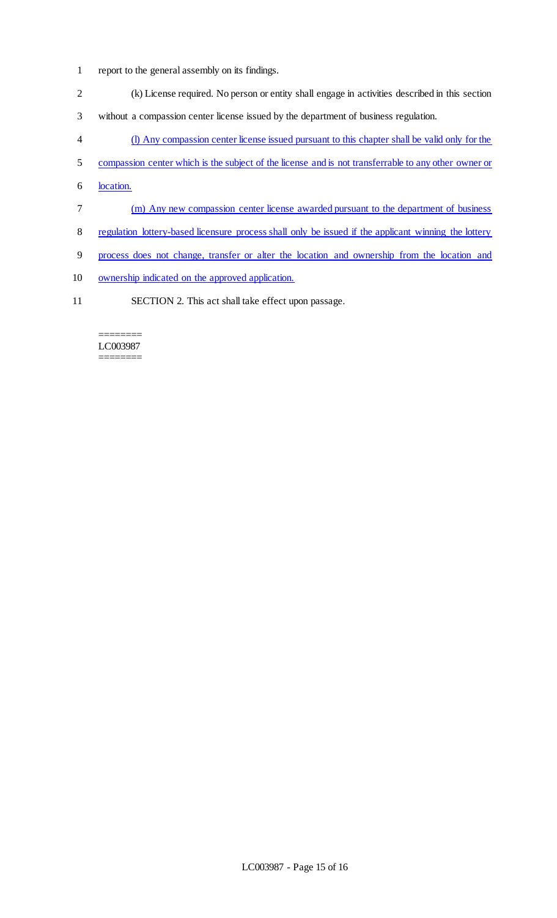- report to the general assembly on its findings.
- (k) License required. No person or entity shall engage in activities described in this section
- without a compassion center license issued by the department of business regulation.
- (l) Any compassion center license issued pursuant to this chapter shall be valid only for the
- 5 compassion center which is the subject of the license and is not transferrable to any other owner or
- location.
- (m) Any new compassion center license awarded pursuant to the department of business
- regulation lottery-based licensure process shall only be issued if the applicant winning the lottery
- process does not change, transfer or alter the location and ownership from the location and
- ownership indicated on the approved application.
- SECTION 2. This act shall take effect upon passage.

#### ======== LC003987 ========